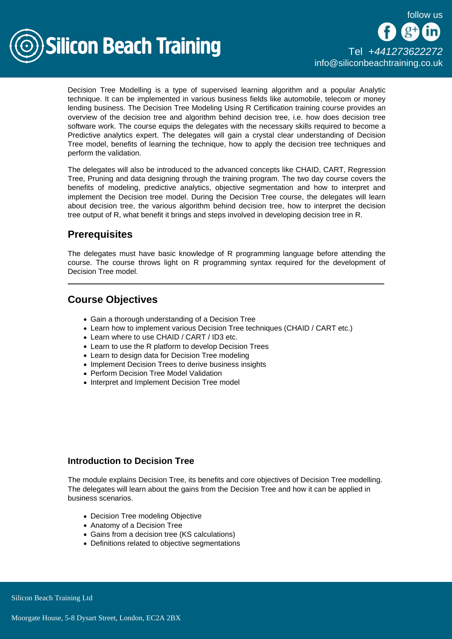

Decision Tree Modelling is a type of supervised learning algorithm and a popular Analytic technique. It can be implemented in various business fields like automobile, telecom or money lending business. The Decision Tree Modeling Using R Certification training course provides an overview of the decision tree and algorithm behind decision tree, i.e. how does decision tree software work. The course equips the delegates with the necessary skills required to become a Predictive analytics expert. The delegates will gain a crystal clear understanding of Decision Tree model, benefits of learning the technique, how to apply the decision tree techniques and perform the validation.

The delegates will also be introduced to the advanced concepts like CHAID, CART, Regression Tree, Pruning and data designing through the training program. The two day course covers the benefits of modeling, predictive analytics, objective segmentation and how to interpret and implement the Decision tree model. During the Decision Tree course, the delegates will learn about decision tree, the various algorithm behind decision tree, how to interpret the decision tree output of R, what benefit it brings and steps involved in developing decision tree in R.

# **Prerequisites**

The delegates must have basic knowledge of R programming language before attending the course. The course throws light on R programming syntax required for the development of Decision Tree model.

# Course Objectives

- Gain a thorough understanding of a Decision Tree
- Learn how to implement various Decision Tree techniques (CHAID / CART etc.)
- Learn where to use CHAID / CART / ID3 etc.
- Learn to use the R platform to develop Decision Trees
- Learn to design data for Decision Tree modeling
- Implement Decision Trees to derive business insights
- Perform Decision Tree Model Validation
- Interpret and Implement Decision Tree model

# Introduction to Decision Tree

The module explains Decision Tree, its benefits and core objectives of Decision Tree modelling. The delegates will learn about the gains from the Decision Tree and how it can be applied in business scenarios.

- Decision Tree modeling Objective
- Anatomy of a Decision Tree
- Gains from a decision tree (KS calculations)
- Definitions related to objective segmentations

Silicon Beach Training Ltd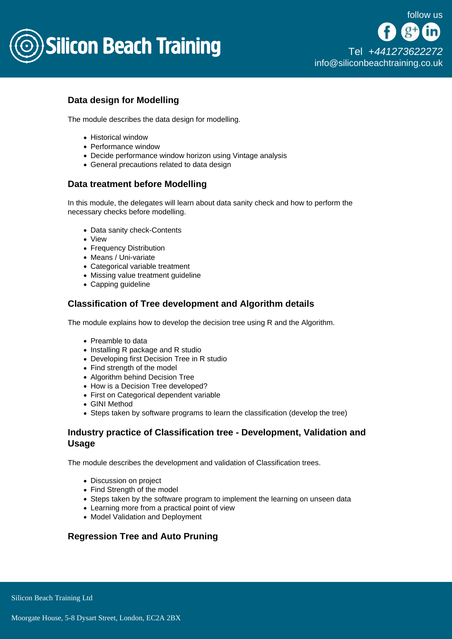

# Data design for Modelling

The module describes the data design for modelling.

- Historical window
- Performance window
- Decide performance window horizon using Vintage analysis
- General precautions related to data design

#### Data treatment before Modelling

In this module, the delegates will learn about data sanity check and how to perform the necessary checks before modelling.

- Data sanity check-Contents
- View
- Frequency Distribution
- Means / Uni-variate
- Categorical variable treatment
- Missing value treatment guideline
- Capping guideline

#### Classification of Tree development and Algorithm details

The module explains how to develop the decision tree using R and the Algorithm.

- Preamble to data
- Installing R package and R studio
- Developing first Decision Tree in R studio
- Find strength of the model
- Algorithm behind Decision Tree
- How is a Decision Tree developed?
- First on Categorical dependent variable
- GINI Method
- Steps taken by software programs to learn the classification (develop the tree)

### Industry practice of Classification tree - Development, Validation and Usage

The module describes the development and validation of Classification trees.

- Discussion on project
- Find Strength of the model
- Steps taken by the software program to implement the learning on unseen data
- Learning more from a practical point of view
- Model Validation and Deployment

#### Regression Tree and Auto Pruning

Silicon Beach Training Ltd